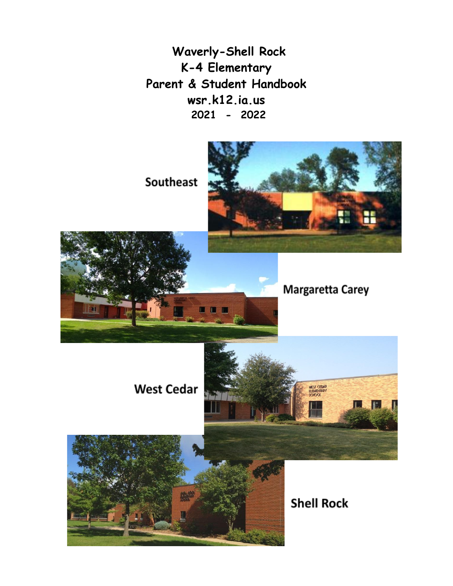**Waverly-Shell Rock K-4 Elementary Parent & Student Handbook wsr.k12.ia.us 2021 - 2022**

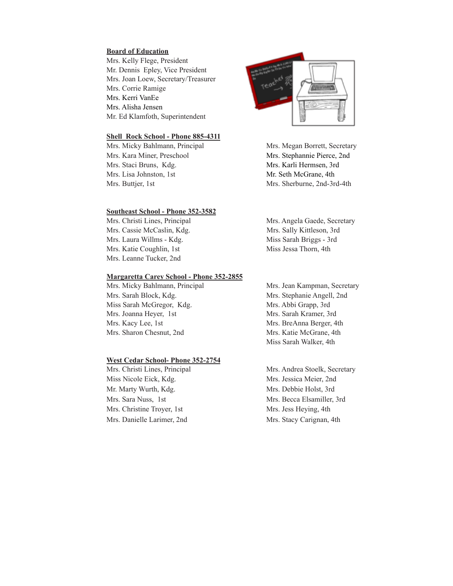#### **Board of Education**

Mrs. Kelly Flege, President Mr. Dennis Epley, Vice President Mrs. Joan Loew, Secretary/Treasurer Mrs. Corrie Ramige Mrs. Kerri VanEe Mrs. Alisha Jensen Mr. Ed Klamfoth, Superintendent

#### **Shell Rock School - Phone 885-4311**

Mrs. Micky Bahlmann, Principal Mrs. Megan Borrett, Secretary Mrs. Kara Miner, Preschool Mrs. Stephannie Pierce, 2nd Mrs. Staci Bruns, Kdg. Mrs. Karli Hermsen, 3rd Mrs. Lisa Johnston, 1st Mr. Seth McGrane, 4th

#### **Southeast School - Phone 352-3582**

Mrs. Christi Lines, Principal Mrs. Angela Gaede, Secretary Mrs. Cassie McCaslin, Kdg. Mrs. Sally Kittleson, 3rd Mrs. Laura Willms - Kdg. Miss Sarah Briggs - 3rd Mrs. Katie Coughlin, 1st Miss Jessa Thorn, 4th Mrs. Leanne Tucker, 2nd

#### **Margaretta Carey School - Phone 352-2855**

Mrs. Sarah Block, Kdg. Mrs. Stephanie Angell, 2nd Miss Sarah McGregor, Kdg. Mrs. Abbi Grapp, 3rd Mrs. Joanna Heyer, 1st Mrs. Sarah Kramer, 3rd Mrs. Kacy Lee, 1st Mrs. BreAnna Berger, 4th Mrs. Sharon Chesnut, 2nd Mrs. Katie McGrane, 4th

#### **West Cedar School- Phone 352-2754**

Mrs. Christi Lines, Principal Mrs. Andrea Stoelk, Secretary Miss Nicole Eick, Kdg. Mrs. Jessica Meier, 2nd Mr. Marty Wurth, Kdg. Mrs. Debbie Holst, 3rd Mrs. Sara Nuss, 1st Mrs. Becca Elsamiller, 3rd Mrs. Christine Troyer, 1st Mrs. Jess Heying, 4th Mrs. Danielle Larimer, 2nd Mrs. Stacy Carignan, 4th



Mrs. Buttjer, 1st Mrs. Sherburne, 2nd-3rd-4th

Mrs. Micky Bahlmann, Principal Mrs. Jean Kampman, Secretary Miss Sarah Walker, 4th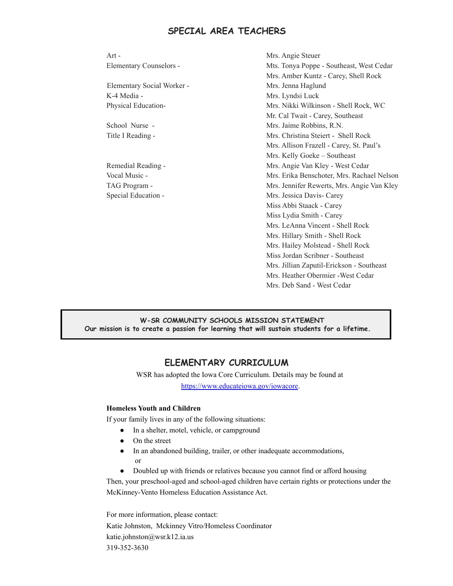# **SPECIAL AREA TEACHERS**

| $Art -$                    | Mrs. Angie Steuer                          |
|----------------------------|--------------------------------------------|
| Elementary Counselors -    | Mts. Tonya Poppe - Southeast, West Cedar   |
|                            | Mrs. Amber Kuntz - Carey, Shell Rock       |
| Elementary Social Worker - | Mrs. Jenna Haglund                         |
| K-4 Media -                | Mrs. Lyndsi Luck                           |
| Physical Education-        | Mrs. Nikki Wilkinson - Shell Rock, WC      |
|                            | Mr. Cal Twait - Carey, Southeast           |
| School Nurse -             | Mrs. Jaime Robbins, R.N.                   |
| Title I Reading -          | Mrs. Christina Steiert - Shell Rock        |
|                            | Mrs. Allison Frazell - Carey, St. Paul's   |
|                            | Mrs. Kelly Goeke - Southeast               |
| Remedial Reading -         | Mrs. Angie Van Kley - West Cedar           |
| Vocal Music -              | Mrs. Erika Benschoter, Mrs. Rachael Nelson |
| TAG Program -              | Mrs. Jennifer Rewerts, Mrs. Angie Van Kley |
| Special Education -        | Mrs. Jessica Davis- Carey                  |
|                            | Miss Abbi Staack - Carey                   |
|                            | Miss Lydia Smith - Carey                   |
|                            | Mrs. LeAnna Vincent - Shell Rock           |
|                            | Mrs. Hillary Smith - Shell Rock            |
|                            | Mrs. Hailey Molstead - Shell Rock          |
|                            | Miss Jordan Scribner - Southeast           |
|                            | Mrs. Jillian Zaputil-Erickson - Southeast  |
|                            | Mrs. Heather Obermier - West Cedar         |
|                            | Mrs. Deb Sand - West Cedar                 |
|                            |                                            |

### **W-SR COMMUNITY SCHOOLS MISSION STATEMENT Our mission is to create a passion for learning that will sustain students for a lifetime.**

# **ELEMENTARY CURRICULUM**

WSR has adopted the Iowa Core Curriculum. Details may be found at <https://www.educateiowa.gov/iowacore>.

### **Homeless Youth and Children**

If your family lives in any of the following situations:

- In a shelter, motel, vehicle, or campground
- On the street
- In an abandoned building, trailer, or other inadequate accommodations, or
- Doubled up with friends or relatives because you cannot find or afford housing

Then, your preschool-aged and school-aged children have certain rights or protections under the McKinney-Vento Homeless Education Assistance Act.

For more information, please contact: Katie Johnston, Mckinney Vitro/Homeless Coordinator katie.johnston@wsr.k12.ia.u[s](mailto:donita.dettmer@wsr.k12.ia.us) 319-352-3630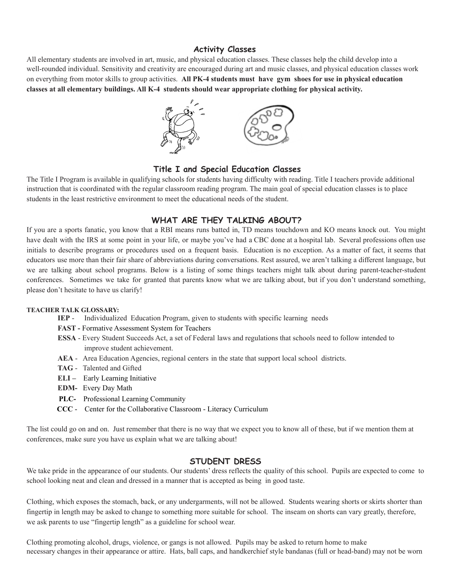## **Activity Classes**

All elementary students are involved in art, music, and physical education classes. These classes help the child develop into a well-rounded individual. Sensitivity and creativity are encouraged during art and music classes, and physical education classes work on everything from motor skills to group activities. **All PK-4 students must have gym shoes for use in physical education classes at all elementary buildings. All K-4 students should wear appropriate clothing for physical activity.**



## **Title I and Special Education Classes**

The Title I Program is available in qualifying schools for students having difficulty with reading. Title I teachers provide additional instruction that is coordinated with the regular classroom reading program. The main goal of special education classes is to place students in the least restrictive environment to meet the educational needs of the student.

## **WHAT ARE THEY TALKING ABOUT?**

If you are a sports fanatic, you know that a RBI means runs batted in, TD means touchdown and KO means knock out. You might have dealt with the IRS at some point in your life, or maybe you've had a CBC done at a hospital lab. Several professions often use initials to describe programs or procedures used on a frequent basis. Education is no exception. As a matter of fact, it seems that educators use more than their fair share of abbreviations during conversations. Rest assured, we aren't talking a different language, but we are talking about school programs. Below is a listing of some things teachers might talk about during parent-teacher-student conferences. Sometimes we take for granted that parents know what we are talking about, but if you don't understand something, please don't hesitate to have us clarify!

#### **TEACHER TALK GLOSSARY:**

- **IEP** Individualized Education Program, given to students with specific learning needs
- **FAST -** Formative Assessment System for Teachers
- **ESSA** Every Student Succeeds Act, a set of Federal laws and regulations that schools need to follow intended to improve student achievement.
- **AEA** Area Education Agencies, regional centers in the state that support local school districts.
- **TAG** Talented and Gifted
- **ELI –** Early Learning Initiative
- **EDM-** Every Day Math
- **PLC-** Professional Learning Community
- **CCC** Center for the Collaborative Classroom Literacy Curriculum

The list could go on and on. Just remember that there is no way that we expect you to know all of these, but if we mention them at conferences, make sure you have us explain what we are talking about!

### **STUDENT DRESS**

We take pride in the appearance of our students. Our students' dress reflects the quality of this school. Pupils are expected to come to school looking neat and clean and dressed in a manner that is accepted as being in good taste.

Clothing, which exposes the stomach, back, or any undergarments, will not be allowed. Students wearing shorts or skirts shorter than fingertip in length may be asked to change to something more suitable for school. The inseam on shorts can vary greatly, therefore, we ask parents to use "fingertip length" as a guideline for school wear.

Clothing promoting alcohol, drugs, violence, or gangs is not allowed. Pupils may be asked to return home to make necessary changes in their appearance or attire. Hats, ball caps, and handkerchief style bandanas (full or head-band) may not be worn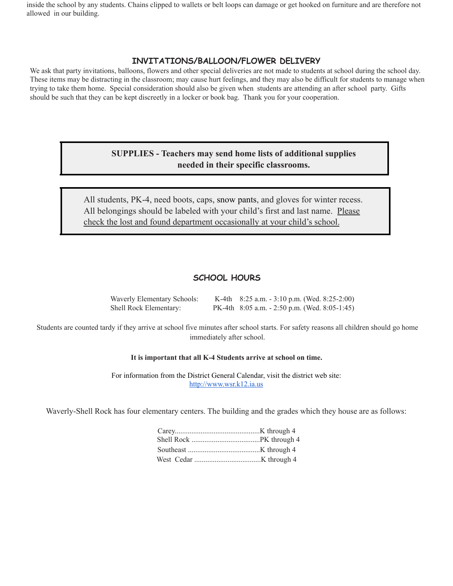inside the school by any students. Chains clipped to wallets or belt loops can damage or get hooked on furniture and are therefore not allowed in our building.

## **INVITATIONS/BALLOON/FLOWER DELIVERY**

We ask that party invitations, balloons, flowers and other special deliveries are not made to students at school during the school day. These items may be distracting in the classroom; may cause hurt feelings, and they may also be difficult for students to manage when trying to take them home. Special consideration should also be given when students are attending an after school party. Gifts should be such that they can be kept discreetly in a locker or book bag. Thank you for your cooperation.

## **SUPPLIES - Teachers may send home lists of additional supplies needed in their specific classrooms.**

All students, PK-4, need boots, caps, snow pants, and gloves for winter recess. All belongings should be labeled with your child's first and last name. Please check the lost and found department occasionally at your child's school.

## **SCHOOL HOURS**

| Waverly Elementary Schools: | K-4th $8:25$ a.m. $-3:10$ p.m. (Wed. $8:25-2:00$ )  |
|-----------------------------|-----------------------------------------------------|
| Shell Rock Elementary:      | PK-4th $8:05$ a.m. $-2:50$ p.m. (Wed. $8:05-1:45$ ) |

Students are counted tardy if they arrive at school five minutes after school starts. For safety reasons all children should go home immediately after school.

### **It is important that all K-4 Students arrive at school on time.**

For information from the District General Calendar, visit the district web site: <http://www.wsr.k12.ia.us>

Waverly-Shell Rock has four elementary centers. The building and the grades which they house are as follows: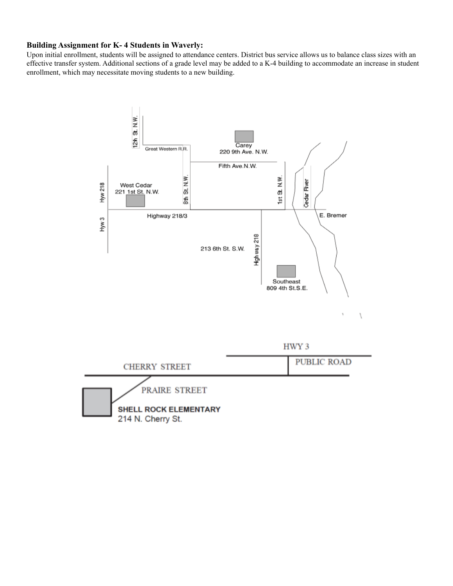## **Building Assignment for K- 4 Students in Waverly:**

Upon initial enrollment, students will be assigned to attendance centers. District bus service allows us to balance class sizes with an effective transfer system. Additional sections of a grade level may be added to a K-4 building to accommodate an increase in student enrollment, which may necessitate moving students to a new building.

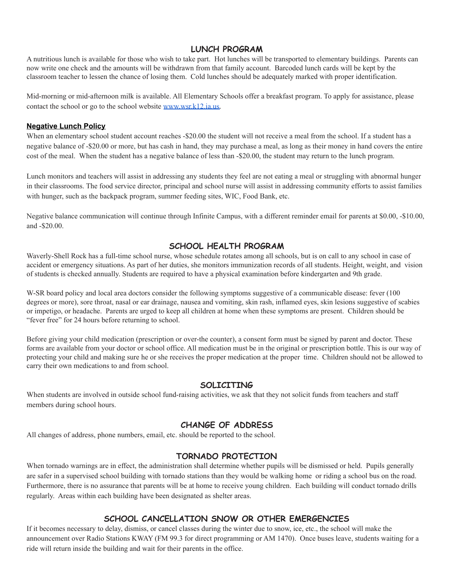## **LUNCH PROGRAM**

A nutritious lunch is available for those who wish to take part. Hot lunches will be transported to elementary buildings. Parents can now write one check and the amounts will be withdrawn from that family account. Barcoded lunch cards will be kept by the classroom teacher to lessen the chance of losing them. Cold lunches should be adequately marked with proper identification.

Mid-morning or mid-afternoon milk is available. All Elementary Schools offer a breakfast program. To apply for assistance, please contact the school or go to the school website [www.wsr.k12.ia.us.](http://www.wsr.k12.ia.us)

#### **Negative Lunch Policy**

When an elementary school student account reaches -\$20.00 the student will not receive a meal from the school. If a student has a negative balance of -\$20.00 or more, but has cash in hand, they may purchase a meal, as long as their money in hand covers the entire cost of the meal. When the student has a negative balance of less than -\$20.00, the student may return to the lunch program.

Lunch monitors and teachers will assist in addressing any students they feel are not eating a meal or struggling with abnormal hunger in their classrooms. The food service director, principal and school nurse will assist in addressing community efforts to assist families with hunger, such as the backpack program, summer feeding sites, WIC, Food Bank, etc.

Negative balance communication will continue through Infinite Campus, with a different reminder email for parents at \$0.00, -\$10.00, and -\$20.00.

## **SCHOOL HEALTH PROGRAM**

Waverly-Shell Rock has a full-time school nurse, whose schedule rotates among all schools, but is on call to any school in case of accident or emergency situations. As part of her duties, she monitors immunization records of all students. Height, weight, and vision of students is checked annually. Students are required to have a physical examination before kindergarten and 9th grade.

W-SR board policy and local area doctors consider the following symptoms suggestive of a communicable disease: fever (100) degrees or more), sore throat, nasal or ear drainage, nausea and vomiting, skin rash, inflamed eyes, skin lesions suggestive of scabies or impetigo, or headache. Parents are urged to keep all children at home when these symptoms are present. Children should be "fever free" for 24 hours before returning to school.

Before giving your child medication (prescription or over-the counter), a consent form must be signed by parent and doctor. These forms are available from your doctor or school office. All medication must be in the original or prescription bottle. This is our way of protecting your child and making sure he or she receives the proper medication at the proper time. Children should not be allowed to carry their own medications to and from school.

### **SOLICITING**

When students are involved in outside school fund-raising activities, we ask that they not solicit funds from teachers and staff members during school hours.

## **CHANGE OF ADDRESS**

All changes of address, phone numbers, email, etc. should be reported to the school.

### **TORNADO PROTECTION**

When tornado warnings are in effect, the administration shall determine whether pupils will be dismissed or held. Pupils generally are safer in a supervised school building with tornado stations than they would be walking home or riding a school bus on the road. Furthermore, there is no assurance that parents will be at home to receive young children. Each building will conduct tornado drills regularly. Areas within each building have been designated as shelter areas.

## **SCHOOL CANCELLATION SNOW OR OTHER EMERGENCIES**

If it becomes necessary to delay, dismiss, or cancel classes during the winter due to snow, ice, etc., the school will make the announcement over Radio Stations KWAY (FM 99.3 for direct programming or AM 1470). Once buses leave, students waiting for a ride will return inside the building and wait for their parents in the office.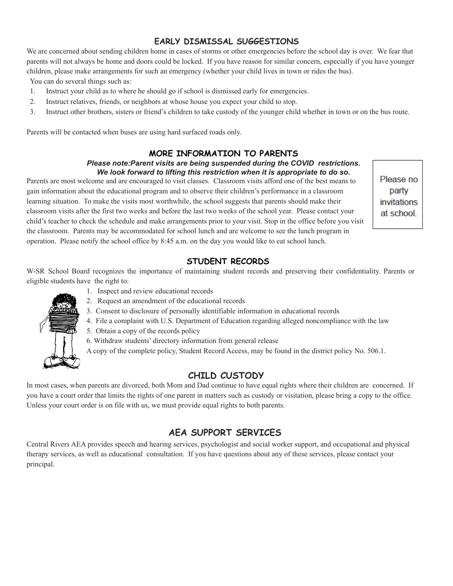# **EARLY DISMISSAL SUGGESTIONS**

We are concerned about sending children home in cases of storms or other emergencies before the school day is over. We fear that parents will not always be home and doors could be locked. If you have reason for similar concern, especially if you have younger children, please make arrangements for such an emergency (whether your child lives in town or rides the bus).

You can do several things such as:

- 1. Instruct your child as to where he should go if school is dismissed early for emergencies.
- 2. Instruct relatives, friends, or neighbors at whose house you expect your child to stop.
- 3. Instruct other brothers, sisters or friend's children to take custody of the younger child whether in town or on the bus route.

Parents will be contacted when buses are using hard surfaced roads only.

## **MORE INFORMATION TO PARENTS**

#### *Please note:Parent visits are being suspended during the COVID restrictions. We look forward to lifting this restriction when it is appropriate to do so.*

Parents are most welcome and are encouraged to visit classes. Classroom visits afford one of the best means to gain information about the educational program and to observe their children's performance in a classroom learning situation. To make the visits most worthwhile, the school suggests that parents should make their classroom visits after the first two weeks and before the last two weeks of the school year. Please contact your child's teacher to check the schedule and make arrangements prior to your visit. Stop in the office before you visit the classroom. Parents may be accommodated for school lunch and are welcome to see the lunch program in operation. Please notify the school office by 8:45 a.m. on the day you would like to eat school lunch.

Please no party invitations at school

## **STUDENT RECORDS**

W-SR School Board recognizes the importance of maintaining student records and preserving their confidentiality. Parents or eligible students have the right to:

- 
- 1. Inspect and review educational records
- 2. Request an amendment of the educational records
- 3. Consent to disclosure of personally identifiable information in educational records
- 4. File a complaint with U.S. Department of Education regarding alleged noncompliance with the law
- 5. Obtain a copy of the records policy
- 6. Withdraw students' directory information from general release

A copy of the complete policy, Student Record Access, may be found in the district policy No. 506.1.

# **CHILD CUSTODY**

In most cases, when parents are divorced, both Mom and Dad continue to have equal rights where their children are concerned. If you have a court order that limits the rights of one parent in matters such as custody or visitation, please bring a copy to the office. Unless your court order is on file with us, we must provide equal rights to both parents.

# **AEA SUPPORT SERVICES**

Central Rivers AEA provides speech and hearing services, psychologist and social worker support, and occupational and physical therapy services, as well as educational consultation. If you have questions about any of these services, please contact your principal.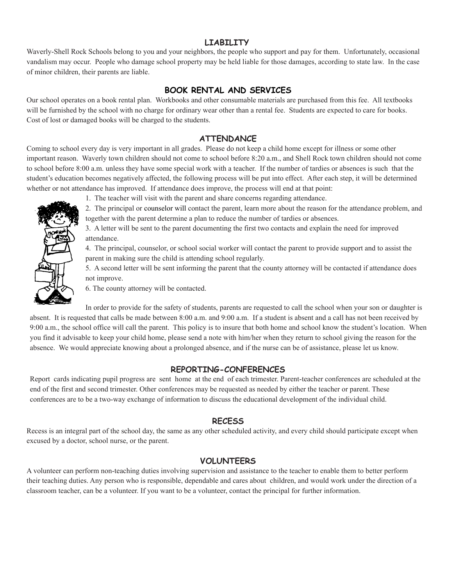## **LIABILITY**

Waverly-Shell Rock Schools belong to you and your neighbors, the people who support and pay for them. Unfortunately, occasional vandalism may occur. People who damage school property may be held liable for those damages, according to state law. In the case of minor children, their parents are liable.

## **BOOK RENTAL AND SERVICES**

Our school operates on a book rental plan. Workbooks and other consumable materials are purchased from this fee. All textbooks will be furnished by the school with no charge for ordinary wear other than a rental fee. Students are expected to care for books. Cost of lost or damaged books will be charged to the students.

### **ATTENDANCE**

Coming to school every day is very important in all grades. Please do not keep a child home except for illness or some other important reason. Waverly town children should not come to school before 8:20 a.m., and Shell Rock town children should not come to school before 8:00 a.m. unless they have some special work with a teacher. If the number of tardies or absences is such that the student's education becomes negatively affected, the following process will be put into effect. After each step, it will be determined whether or not attendance has improved. If attendance does improve, the process will end at that point:

- 
- 1. The teacher will visit with the parent and share concerns regarding attendance.

2. The principal or counselor will contact the parent, learn more about the reason for the attendance problem, and together with the parent determine a plan to reduce the number of tardies or absences.

3. A letter will be sent to the parent documenting the first two contacts and explain the need for improved attendance.

4. The principal, counselor, or school social worker will contact the parent to provide support and to assist the parent in making sure the child is attending school regularly.

5. A second letter will be sent informing the parent that the county attorney will be contacted if attendance does not improve.

6. The county attorney will be contacted.

In order to provide for the safety of students, parents are requested to call the school when your son or daughter is absent. It is requested that calls be made between 8:00 a.m. and 9:00 a.m. If a student is absent and a call has not been received by 9:00 a.m., the school office will call the parent. This policy is to insure that both home and school know the student's location. When you find it advisable to keep your child home, please send a note with him/her when they return to school giving the reason for the absence. We would appreciate knowing about a prolonged absence, and if the nurse can be of assistance, please let us know.

### **REPORTING-CONFERENCES**

Report cards indicating pupil progress are sent home at the end of each trimester. Parent-teacher conferences are scheduled at the end of the first and second trimester. Other conferences may be requested as needed by either the teacher or parent. These conferences are to be a two-way exchange of information to discuss the educational development of the individual child.

### **RECESS**

Recess is an integral part of the school day, the same as any other scheduled activity, and every child should participate except when excused by a doctor, school nurse, or the parent.

## **VOLUNTEERS**

A volunteer can perform non-teaching duties involving supervision and assistance to the teacher to enable them to better perform their teaching duties. Any person who is responsible, dependable and cares about children, and would work under the direction of a classroom teacher, can be a volunteer. If you want to be a volunteer, contact the principal for further information.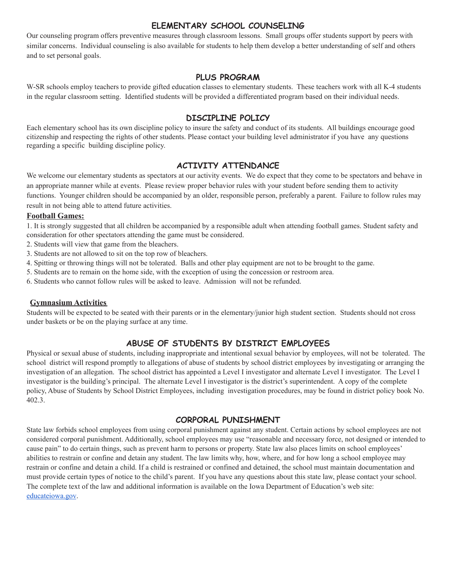# **ELEMENTARY SCHOOL COUNSELING**

Our counseling program offers preventive measures through classroom lessons. Small groups offer students support by peers with similar concerns. Individual counseling is also available for students to help them develop a better understanding of self and others and to set personal goals.

## **PLUS PROGRAM**

W-SR schools employ teachers to provide gifted education classes to elementary students. These teachers work with all K-4 students in the regular classroom setting. Identified students will be provided a differentiated program based on their individual needs.

## **DISCIPLINE POLICY**

Each elementary school has its own discipline policy to insure the safety and conduct of its students. All buildings encourage good citizenship and respecting the rights of other students. Please contact your building level administrator if you have any questions regarding a specific building discipline policy.

# **ACTIVITY ATTENDANCE**

We welcome our elementary students as spectators at our activity events. We do expect that they come to be spectators and behave in an appropriate manner while at events. Please review proper behavior rules with your student before sending them to activity functions. Younger children should be accompanied by an older, responsible person, preferably a parent. Failure to follow rules may result in not being able to attend future activities.

## **Football Games:**

1. It is strongly suggested that all children be accompanied by a responsible adult when attending football games. Student safety and consideration for other spectators attending the game must be considered.

- 2. Students will view that game from the bleachers.
- 3. Students are not allowed to sit on the top row of bleachers.
- 4. Spitting or throwing things will not be tolerated. Balls and other play equipment are not to be brought to the game.
- 5. Students are to remain on the home side, with the exception of using the concession or restroom area.
- 6. Students who cannot follow rules will be asked to leave. Admission will not be refunded.

## **Gymnasium Activities**

Students will be expected to be seated with their parents or in the elementary/junior high student section. Students should not cross under baskets or be on the playing surface at any time.

# **ABUSE OF STUDENTS BY DISTRICT EMPLOYEES**

Physical or sexual abuse of students, including inappropriate and intentional sexual behavior by employees, will not be tolerated. The school district will respond promptly to allegations of abuse of students by school district employees by investigating or arranging the investigation of an allegation. The school district has appointed a Level I investigator and alternate Level I investigator. The Level I investigator is the building's principal. The alternate Level I investigator is the district's superintendent. A copy of the complete policy, Abuse of Students by School District Employees, including investigation procedures, may be found in district policy book No. 402.3.

## **CORPORAL PUNISHMENT**

State law forbids school employees from using corporal punishment against any student. Certain actions by school employees are not considered corporal punishment. Additionally, school employees may use "reasonable and necessary force, not designed or intended to cause pain" to do certain things, such as prevent harm to persons or property. State law also places limits on school employees' abilities to restrain or confine and detain any student. The law limits why, how, where, and for how long a school employee may restrain or confine and detain a child. If a child is restrained or confined and detained, the school must maintain documentation and must provide certain types of notice to the child's parent. If you have any questions about this state law, please contact your school. The complete text of the law and additional information is available on the Iowa Department of Education's web site: [educateiowa.gov](http://educateiowa.gov/).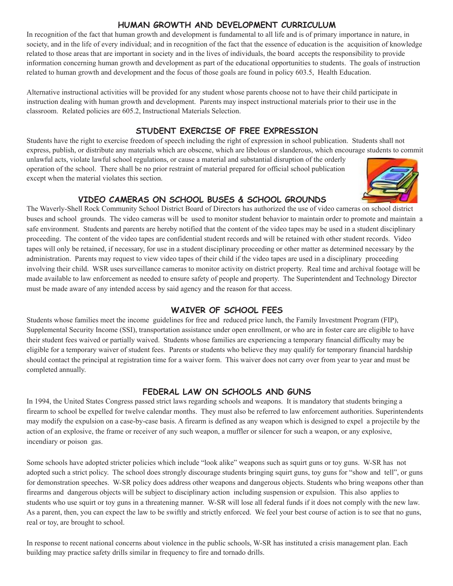# **HUMAN GROWTH AND DEVELOPMENT CURRICULUM**

In recognition of the fact that human growth and development is fundamental to all life and is of primary importance in nature, in society, and in the life of every individual; and in recognition of the fact that the essence of education is the acquisition of knowledge related to those areas that are important in society and in the lives of individuals, the board accepts the responsibility to provide information concerning human growth and development as part of the educational opportunities to students. The goals of instruction related to human growth and development and the focus of those goals are found in policy 603.5, Health Education.

Alternative instructional activities will be provided for any student whose parents choose not to have their child participate in instruction dealing with human growth and development. Parents may inspect instructional materials prior to their use in the classroom. Related policies are 605.2, Instructional Materials Selection.

# **STUDENT EXERCISE OF FREE EXPRESSION**

Students have the right to exercise freedom of speech including the right of expression in school publication. Students shall not express, publish, or distribute any materials which are obscene, which are libelous or slanderous, which encourage students to commit

unlawful acts, violate lawful school regulations, or cause a material and substantial disruption of the orderly operation of the school. There shall be no prior restraint of material prepared for official school publication except when the material violates this section.



# **VIDEO CAMERAS ON SCHOOL BUSES & SCHOOL GROUNDS**

The Waverly-Shell Rock Community School District Board of Directors has authorized the use of video cameras on school district buses and school grounds. The video cameras will be used to monitor student behavior to maintain order to promote and maintain a safe environment. Students and parents are hereby notified that the content of the video tapes may be used in a student disciplinary proceeding. The content of the video tapes are confidential student records and will be retained with other student records. Video tapes will only be retained, if necessary, for use in a student disciplinary proceeding or other matter as determined necessary by the administration. Parents may request to view video tapes of their child if the video tapes are used in a disciplinary proceeding involving their child. WSR uses surveillance cameras to monitor activity on district property. Real time and archival footage will be made available to law enforcement as needed to ensure safety of people and property. The Superintendent and Technology Director must be made aware of any intended access by said agency and the reason for that access.

# **WAIVER OF SCHOOL FEES**

Students whose families meet the income guidelines for free and reduced price lunch, the Family Investment Program (FIP), Supplemental Security Income (SSI), transportation assistance under open enrollment, or who are in foster care are eligible to have their student fees waived or partially waived. Students whose families are experiencing a temporary financial difficulty may be eligible for a temporary waiver of student fees. Parents or students who believe they may qualify for temporary financial hardship should contact the principal at registration time for a waiver form. This waiver does not carry over from year to year and must be completed annually.

# **FEDERAL LAW ON SCHOOLS AND GUNS**

In 1994, the United States Congress passed strict laws regarding schools and weapons. It is mandatory that students bringing a firearm to school be expelled for twelve calendar months. They must also be referred to law enforcement authorities. Superintendents may modify the expulsion on a case-by-case basis. A firearm is defined as any weapon which is designed to expel a projectile by the action of an explosive, the frame or receiver of any such weapon, a muffler or silencer for such a weapon, or any explosive, incendiary or poison gas.

Some schools have adopted stricter policies which include "look alike" weapons such as squirt guns or toy guns. W-SR has not adopted such a strict policy. The school does strongly discourage students bringing squirt guns, toy guns for "show and tell", or guns for demonstration speeches. W-SR policy does address other weapons and dangerous objects. Students who bring weapons other than firearms and dangerous objects will be subject to disciplinary action including suspension or expulsion. This also applies to students who use squirt or toy guns in a threatening manner. W-SR will lose all federal funds if it does not comply with the new law. As a parent, then, you can expect the law to be swiftly and strictly enforced. We feel your best course of action is to see that no guns, real or toy, are brought to school.

In response to recent national concerns about violence in the public schools, W-SR has instituted a crisis management plan. Each building may practice safety drills similar in frequency to fire and tornado drills.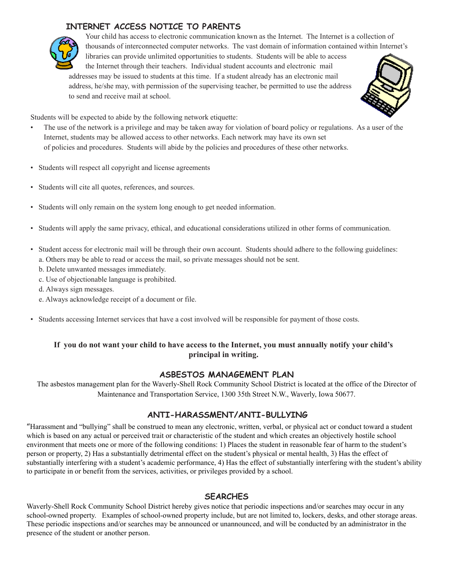# **INTERNET ACCESS NOTICE TO PARENTS**



Your child has access to electronic communication known as the Internet. The Internet is a collection of thousands of interconnected computer networks. The vast domain of information contained within Internet's libraries can provide unlimited opportunities to students. Students will be able to access the Internet through their teachers. Individual student accounts and electronic mail addresses may be issued to students at this time. If a student already has an electronic mail address, he/she may, with permission of the supervising teacher, be permitted to use the address to send and receive mail at school.



Students will be expected to abide by the following network etiquette:

- The use of the network is a privilege and may be taken away for violation of board policy or regulations. As a user of the Internet, students may be allowed access to other networks. Each network may have its own set of policies and procedures. Students will abide by the policies and procedures of these other networks.
- Students will respect all copyright and license agreements
- Students will cite all quotes, references, and sources.
- Students will only remain on the system long enough to get needed information.
- Students will apply the same privacy, ethical, and educational considerations utilized in other forms of communication.
- Student access for electronic mail will be through their own account. Students should adhere to the following guidelines: a. Others may be able to read or access the mail, so private messages should not be sent.
	- b. Delete unwanted messages immediately.
	- c. Use of objectionable language is prohibited.
	- d. Always sign messages.
	- e. Always acknowledge receipt of a document or file.
- Students accessing Internet services that have a cost involved will be responsible for payment of those costs.

# If you do not want your child to have access to the Internet, you must annually notify your child's **principal in writing.**

# **ASBESTOS MANAGEMENT PLAN**

The asbestos management plan for the Waverly-Shell Rock Community School District is located at the office of the Director of Maintenance and Transportation Service, 1300 35th Street N.W., Waverly, Iowa 50677.

# **ANTI-HARASSMENT/ANTI-BULLYING**

"Harassment and "bullying" shall be construed to mean any electronic, written, verbal, or physical act or conduct toward a student which is based on any actual or perceived trait or characteristic of the student and which creates an objectively hostile school environment that meets one or more of the following conditions: 1) Places the student in reasonable fear of harm to the student's person or property, 2) Has a substantially detrimental effect on the student's physical or mental health, 3) Has the effect of substantially interfering with a student's academic performance, 4) Has the effect of substantially interfering with the student's ability to participate in or benefit from the services, activities, or privileges provided by a school.

## **SEARCHES**

Waverly-Shell Rock Community School District hereby gives notice that periodic inspections and/or searches may occur in any school-owned property. Examples of school-owned property include, but are not limited to, lockers, desks, and other storage areas. These periodic inspections and/or searches may be announced or unannounced, and will be conducted by an administrator in the presence of the student or another person.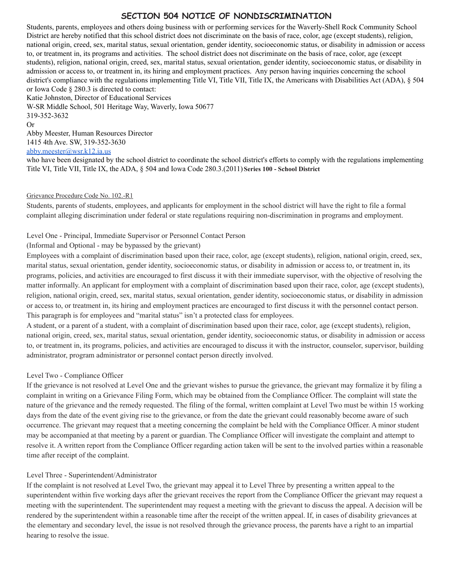# **SECTION 504 NOTICE OF NONDISCRIMINATION**

Students, parents, employees and others doing business with or performing services for the Waverly-Shell Rock Community School District are hereby notified that this school district does not discriminate on the basis of race, color, age (except students), religion, national origin, creed, sex, marital status, sexual orientation, gender identity, socioeconomic status, or disability in admission or access to, or treatment in, its programs and activities. The school district does not discriminate on the basis of race, color, age (except students), religion, national origin, creed, sex, marital status, sexual orientation, gender identity, socioeconomic status, or disability in admission or access to, or treatment in, its hiring and employment practices. Any person having inquiries concerning the school district's compliance with the regulations implementing Title VI, Title VII, Title IX, the Americans with Disabilities Act (ADA), § 504 or Iowa Code § 280.3 is directed to contact:

Katie Johnston, Director of Educational Services W-SR Middle School, 501 Heritage Way, Waverly, Iowa 50677 319-352-3632 Or Abby Meester, Human Resources Director

1415 4th Ave. SW, 319-352-3630

[abby.meester@wsr.k12.ia.us](mailto:abby.meester@wsr.k12.ia.us)

who have been designated by the school district to coordinate the school district's efforts to comply with the regulations implementing Title VI, Title VII, Title IX, the ADA, § 504 and Iowa Code 280.3.(2011) **Series 100 - School District**

### Grievance Procedure Code No. 102.-R1

Students, parents of students, employees, and applicants for employment in the school district will have the right to file a formal complaint alleging discrimination under federal or state regulations requiring non-discrimination in programs and employment.

Level One - Principal, Immediate Supervisor or Personnel Contact Person

(Informal and Optional - may be bypassed by the grievant)

Employees with a complaint of discrimination based upon their race, color, age (except students), religion, national origin, creed, sex, marital status, sexual orientation, gender identity, socioeconomic status, or disability in admission or access to, or treatment in, its programs, policies, and activities are encouraged to first discuss it with their immediate supervisor, with the objective of resolving the matter informally. An applicant for employment with a complaint of discrimination based upon their race, color, age (except students), religion, national origin, creed, sex, marital status, sexual orientation, gender identity, socioeconomic status, or disability in admission or access to, or treatment in, its hiring and employment practices are encouraged to first discuss it with the personnel contact person. This paragraph is for employees and "marital status" isn't a protected class for employees.

A student, or a parent of a student, with a complaint of discrimination based upon their race, color, age (except students), religion, national origin, creed, sex, marital status, sexual orientation, gender identity, socioeconomic status, or disability in admission or access to, or treatment in, its programs, policies, and activities are encouraged to discuss it with the instructor, counselor, supervisor, building administrator, program administrator or personnel contact person directly involved.

### Level Two - Compliance Officer

If the grievance is not resolved at Level One and the grievant wishes to pursue the grievance, the grievant may formalize it by filing a complaint in writing on a Grievance Filing Form, which may be obtained from the Compliance Officer. The complaint will state the nature of the grievance and the remedy requested. The filing of the formal, written complaint at Level Two must be within 15 working days from the date of the event giving rise to the grievance, or from the date the grievant could reasonably become aware of such occurrence. The grievant may request that a meeting concerning the complaint be held with the Compliance Officer. A minor student may be accompanied at that meeting by a parent or guardian. The Compliance Officer will investigate the complaint and attempt to resolve it. A written report from the Compliance Officer regarding action taken will be sent to the involved parties within a reasonable time after receipt of the complaint.

### Level Three - Superintendent/Administrator

If the complaint is not resolved at Level Two, the grievant may appeal it to Level Three by presenting a written appeal to the superintendent within five working days after the grievant receives the report from the Compliance Officer the grievant may request a meeting with the superintendent. The superintendent may request a meeting with the grievant to discuss the appeal. A decision will be rendered by the superintendent within a reasonable time after the receipt of the written appeal. If, in cases of disability grievances at the elementary and secondary level, the issue is not resolved through the grievance process, the parents have a right to an impartial hearing to resolve the issue.